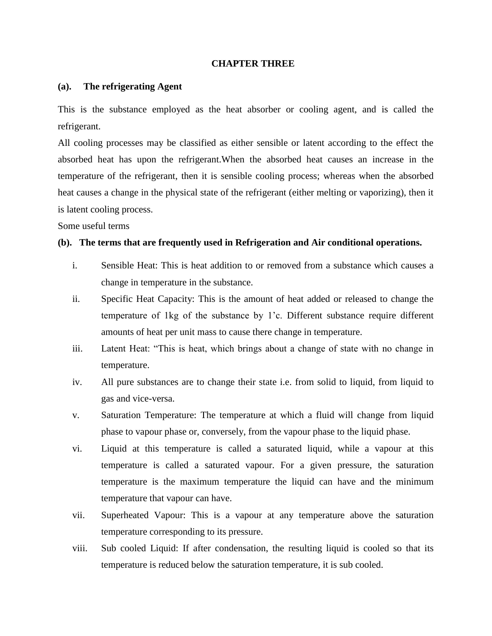## **CHAPTER THREE**

## **(a). The refrigerating Agent**

This is the substance employed as the heat absorber or cooling agent, and is called the refrigerant.

All cooling processes may be classified as either sensible or latent according to the effect the absorbed heat has upon the refrigerant.When the absorbed heat causes an increase in the temperature of the refrigerant, then it is sensible cooling process; whereas when the absorbed heat causes a change in the physical state of the refrigerant (either melting or vaporizing), then it is latent cooling process.

Some useful terms

## **(b). The terms that are frequently used in Refrigeration and Air conditional operations.**

- i. Sensible Heat: This is heat addition to or removed from a substance which causes a change in temperature in the substance.
- ii. Specific Heat Capacity: This is the amount of heat added or released to change the temperature of 1kg of the substance by 1'c. Different substance require different amounts of heat per unit mass to cause there change in temperature.
- iii. Latent Heat: "This is heat, which brings about a change of state with no change in temperature.
- iv. All pure substances are to change their state i.e. from solid to liquid, from liquid to gas and vice-versa.
- v. Saturation Temperature: The temperature at which a fluid will change from liquid phase to vapour phase or, conversely, from the vapour phase to the liquid phase.
- vi. Liquid at this temperature is called a saturated liquid, while a vapour at this temperature is called a saturated vapour. For a given pressure, the saturation temperature is the maximum temperature the liquid can have and the minimum temperature that vapour can have.
- vii. Superheated Vapour: This is a vapour at any temperature above the saturation temperature corresponding to its pressure.
- viii. Sub cooled Liquid: If after condensation, the resulting liquid is cooled so that its temperature is reduced below the saturation temperature, it is sub cooled.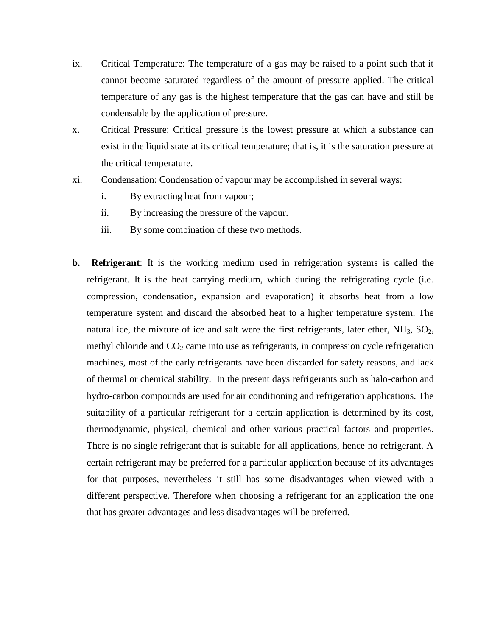- ix. Critical Temperature: The temperature of a gas may be raised to a point such that it cannot become saturated regardless of the amount of pressure applied. The critical temperature of any gas is the highest temperature that the gas can have and still be condensable by the application of pressure.
- x. Critical Pressure: Critical pressure is the lowest pressure at which a substance can exist in the liquid state at its critical temperature; that is, it is the saturation pressure at the critical temperature.
- xi. Condensation: Condensation of vapour may be accomplished in several ways:
	- i. By extracting heat from vapour;
	- ii. By increasing the pressure of the vapour.
	- iii. By some combination of these two methods.
- **b. Refrigerant**: It is the working medium used in refrigeration systems is called the refrigerant. It is the heat carrying medium, which during the refrigerating cycle (i.e. compression, condensation, expansion and evaporation) it absorbs heat from a low temperature system and discard the absorbed heat to a higher temperature system. The natural ice, the mixture of ice and salt were the first refrigerants, later ether,  $NH_3$ ,  $SO_2$ , methyl chloride and  $CO<sub>2</sub>$  came into use as refrigerants, in compression cycle refrigeration machines, most of the early refrigerants have been discarded for safety reasons, and lack of thermal or chemical stability. In the present days refrigerants such as halo-carbon and hydro-carbon compounds are used for air conditioning and refrigeration applications. The suitability of a particular refrigerant for a certain application is determined by its cost, thermodynamic, physical, chemical and other various practical factors and properties. There is no single refrigerant that is suitable for all applications, hence no refrigerant. A certain refrigerant may be preferred for a particular application because of its advantages for that purposes, nevertheless it still has some disadvantages when viewed with a different perspective. Therefore when choosing a refrigerant for an application the one that has greater advantages and less disadvantages will be preferred.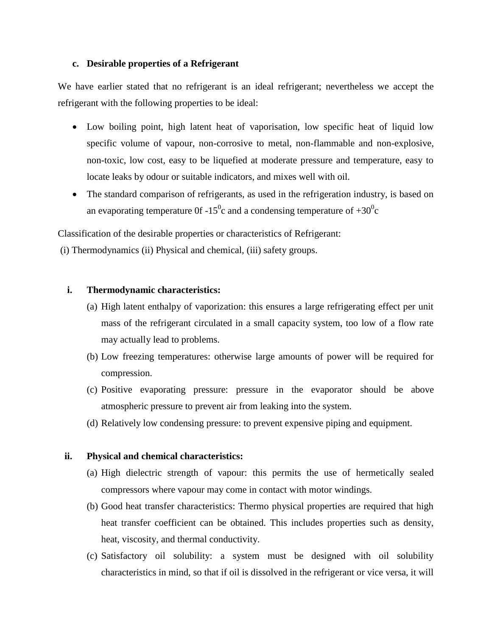## **c. Desirable properties of a Refrigerant**

We have earlier stated that no refrigerant is an ideal refrigerant; nevertheless we accept the refrigerant with the following properties to be ideal:

- Low boiling point, high latent heat of vaporisation, low specific heat of liquid low specific volume of vapour, non-corrosive to metal, non-flammable and non-explosive, non-toxic, low cost, easy to be liquefied at moderate pressure and temperature, easy to locate leaks by odour or suitable indicators, and mixes well with oil.
- The standard comparison of refrigerants, as used in the refrigeration industry, is based on an evaporating temperature 0f -15<sup>0</sup>c and a condensing temperature of  $+30^0c$

Classification of the desirable properties or characteristics of Refrigerant:

(i) Thermodynamics (ii) Physical and chemical, (iii) safety groups.

# **i. Thermodynamic characteristics:**

- (a) High latent enthalpy of vaporization: this ensures a large refrigerating effect per unit mass of the refrigerant circulated in a small capacity system, too low of a flow rate may actually lead to problems.
- (b) Low freezing temperatures: otherwise large amounts of power will be required for compression.
- (c) Positive evaporating pressure: pressure in the evaporator should be above atmospheric pressure to prevent air from leaking into the system.
- (d) Relatively low condensing pressure: to prevent expensive piping and equipment.

# **ii. Physical and chemical characteristics:**

- (a) High dielectric strength of vapour: this permits the use of hermetically sealed compressors where vapour may come in contact with motor windings.
- (b) Good heat transfer characteristics: Thermo physical properties are required that high heat transfer coefficient can be obtained. This includes properties such as density, heat, viscosity, and thermal conductivity.
- (c) Satisfactory oil solubility: a system must be designed with oil solubility characteristics in mind, so that if oil is dissolved in the refrigerant or vice versa, it will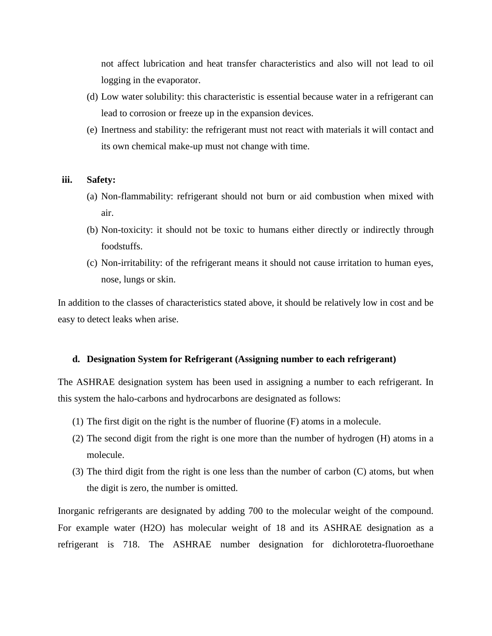not affect lubrication and heat transfer characteristics and also will not lead to oil logging in the evaporator.

- (d) Low water solubility: this characteristic is essential because water in a refrigerant can lead to corrosion or freeze up in the expansion devices.
- (e) Inertness and stability: the refrigerant must not react with materials it will contact and its own chemical make-up must not change with time.

#### **iii. Safety:**

- (a) Non-flammability: refrigerant should not burn or aid combustion when mixed with air.
- (b) Non-toxicity: it should not be toxic to humans either directly or indirectly through foodstuffs.
- (c) Non-irritability: of the refrigerant means it should not cause irritation to human eyes, nose, lungs or skin.

In addition to the classes of characteristics stated above, it should be relatively low in cost and be easy to detect leaks when arise.

## **d. Designation System for Refrigerant (Assigning number to each refrigerant)**

The ASHRAE designation system has been used in assigning a number to each refrigerant. In this system the halo-carbons and hydrocarbons are designated as follows:

- (1) The first digit on the right is the number of fluorine (F) atoms in a molecule.
- (2) The second digit from the right is one more than the number of hydrogen (H) atoms in a molecule.
- (3) The third digit from the right is one less than the number of carbon (C) atoms, but when the digit is zero, the number is omitted.

Inorganic refrigerants are designated by adding 700 to the molecular weight of the compound. For example water (H2O) has molecular weight of 18 and its ASHRAE designation as a refrigerant is 718. The ASHRAE number designation for dichlorotetra-fluoroethane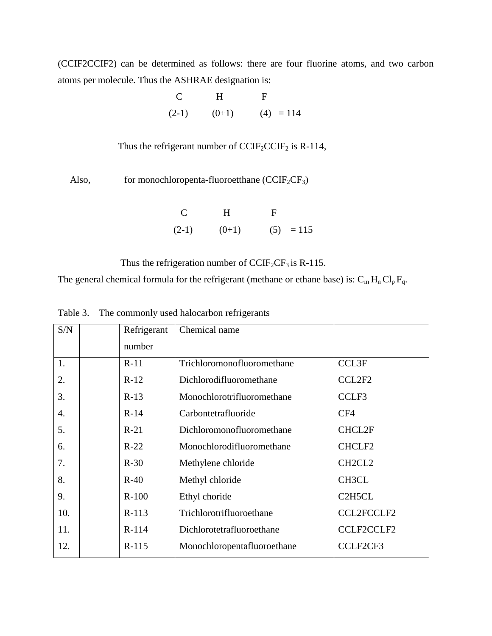(CCIF2CCIF2) can be determined as follows: there are four fluorine atoms, and two carbon atoms per molecule. Thus the ASHRAE designation is:

|  | $C$ H F |                             |
|--|---------|-----------------------------|
|  |         | $(2-1)$ $(0+1)$ $(4) = 114$ |

Thus the refrigerant number of  $CCIF_2CCIF_2$  is R-114,

Also, for monochloropenta-fluoroetthane  $(CCIF<sub>2</sub>CF<sub>3</sub>)$ 

 C H F  $(2-1)$   $(0+1)$   $(5) = 115$ 

Thus the refrigeration number of  $CCIF_2CF_3$  is R-115.

The general chemical formula for the refrigerant (methane or ethane base) is:  $C_m H_n Cl_p F_q$ .

| S/N | Refrigerant | Chemical name               |                                              |
|-----|-------------|-----------------------------|----------------------------------------------|
|     | number      |                             |                                              |
| 1.  | $R-11$      | Trichloromonofluoromethane  | <b>CCL3F</b>                                 |
| 2.  | $R-12$      | Dichlorodifluoromethane     | CCL2F2                                       |
| 3.  | $R-13$      | Monochlorotrifluoromethane  | CCLF3                                        |
| 4.  | $R-14$      | Carbontetrafluoride         | CF4                                          |
| 5.  | $R-21$      | Dichloromonofluoromethane   | <b>CHCL2F</b>                                |
| 6.  | $R-22$      | Monochlorodifluoromethane   | CHCLF <sub>2</sub>                           |
| 7.  | $R-30$      | Methylene chloride          | CH <sub>2</sub> CL <sub>2</sub>              |
| 8.  | $R-40$      | Methyl chloride             | CH3CL                                        |
| 9.  | $R-100$     | Ethyl choride               | C <sub>2</sub> H <sub>5</sub> C <sub>L</sub> |
| 10. | $R-113$     | Trichlorotrifluoroethane    | <b>CCL2FCCLF2</b>                            |
| 11. | $R-114$     | Dichlorotetrafluoroethane   | <b>CCLF2CCLF2</b>                            |
| 12. | $R-115$     | Monochloropentafluoroethane | CCLF2CF3                                     |

Table 3. The commonly used halocarbon refrigerants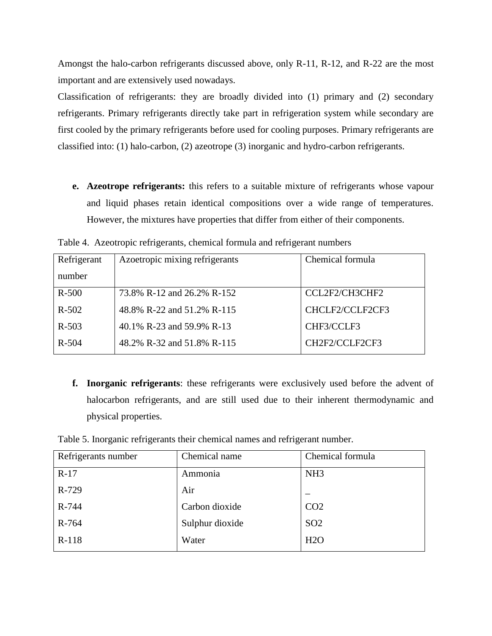Amongst the halo-carbon refrigerants discussed above, only R-11, R-12, and R-22 are the most important and are extensively used nowadays.

Classification of refrigerants: they are broadly divided into (1) primary and (2) secondary refrigerants. Primary refrigerants directly take part in refrigeration system while secondary are first cooled by the primary refrigerants before used for cooling purposes. Primary refrigerants are classified into: (1) halo-carbon, (2) azeotrope (3) inorganic and hydro-carbon refrigerants.

**e. Azeotrope refrigerants:** this refers to a suitable mixture of refrigerants whose vapour and liquid phases retain identical compositions over a wide range of temperatures. However, the mixtures have properties that differ from either of their components.

| Refrigerant | Azoetropic mixing refrigerants | Chemical formula |
|-------------|--------------------------------|------------------|
| number      |                                |                  |
| $R-500$     | 73.8% R-12 and 26.2% R-152     | CCL2F2/CH3CHF2   |
| $R - 502$   | 48.8% R-22 and 51.2% R-115     | CHCLF2/CCLF2CF3  |
| $R - 503$   | 40.1% R-23 and 59.9% R-13      | CHF3/CCLF3       |
| $R - 504$   | 48.2% R-32 and 51.8% R-115     | CH2F2/CCLF2CF3   |

Table 4. Azeotropic refrigerants, chemical formula and refrigerant numbers

**f. Inorganic refrigerants**: these refrigerants were exclusively used before the advent of halocarbon refrigerants, and are still used due to their inherent thermodynamic and physical properties.

Table 5. Inorganic refrigerants their chemical names and refrigerant number.

| Refrigerants number | Chemical name   | Chemical formula |
|---------------------|-----------------|------------------|
| $R-17$              | Ammonia         | NH <sub>3</sub>  |
| R-729               | Air             |                  |
| R-744               | Carbon dioxide  | CO <sub>2</sub>  |
| R-764               | Sulphur dioxide | SO <sub>2</sub>  |
| R-118               | Water           | H2O              |